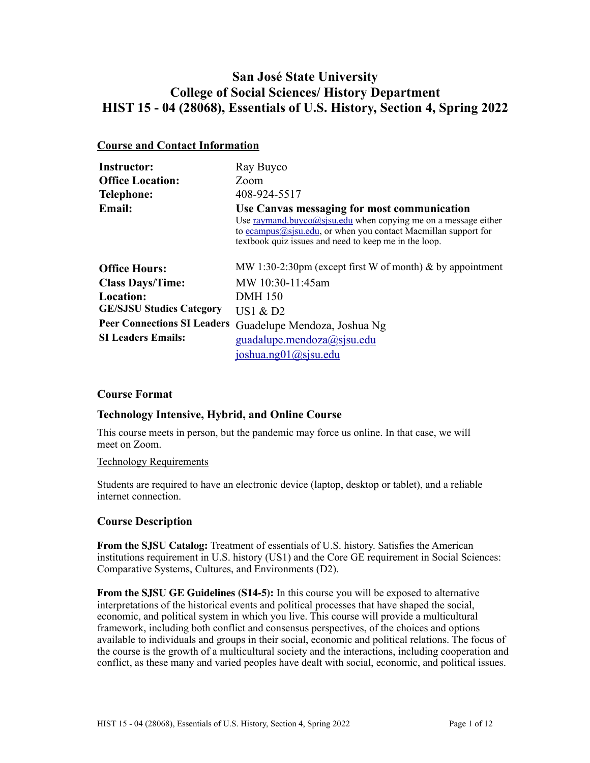# **San José State University College of Social Sciences/ History Department HIST 15 - 04 (28068), Essentials of U.S. History, Section 4, Spring 2022**

# **Course and Contact Information**

| <b>Instructor:</b>                 | Ray Buyco                                                                                                                                                                                                                                   |
|------------------------------------|---------------------------------------------------------------------------------------------------------------------------------------------------------------------------------------------------------------------------------------------|
| <b>Office Location:</b>            | Zoom                                                                                                                                                                                                                                        |
| <b>Telephone:</b>                  | 408-924-5517                                                                                                                                                                                                                                |
| <b>Email:</b>                      | Use Canvas messaging for most communication<br>Use raymand.buyco@sisu.edu when copying me on a message either<br>to $ecampus@sisu.edu$ , or when you contact Macmillan support for<br>textbook quiz issues and need to keep me in the loop. |
| <b>Office Hours:</b>               | MW 1:30-2:30pm (except first W of month) $\&$ by appointment                                                                                                                                                                                |
| <b>Class Days/Time:</b>            | MW 10:30-11:45am                                                                                                                                                                                                                            |
| Location:                          | <b>DMH</b> 150                                                                                                                                                                                                                              |
| <b>GE/SJSU Studies Category</b>    | US1 $\&$ D2                                                                                                                                                                                                                                 |
| <b>Peer Connections SI Leaders</b> | Guadelupe Mendoza, Joshua Ng                                                                                                                                                                                                                |
| <b>SI Leaders Emails:</b>          | $\text{quadalupe.mendoza}(a)$ sjsu.edu                                                                                                                                                                                                      |
|                                    | joshua.ng $01$ @ sjsu.edu                                                                                                                                                                                                                   |

# **Course Format**

# **Technology Intensive, Hybrid, and Online Course**

This course meets in person, but the pandemic may force us online. In that case, we will meet on Zoom.

#### Technology Requirements

Students are required to have an electronic device (laptop, desktop or tablet), and a reliable internet connection.

# **Course Description**

**From the SJSU Catalog:** Treatment of essentials of U.S. history. Satisfies the American institutions requirement in U.S. history (US1) and the Core GE requirement in Social Sciences: Comparative Systems, Cultures, and Environments (D2).

**From the SJSU GE Guidelines (S14-5):** In this course you will be exposed to alternative interpretations of the historical events and political processes that have shaped the social, economic, and political system in which you live. This course will provide a multicultural framework, including both conflict and consensus perspectives, of the choices and options available to individuals and groups in their social, economic and political relations. The focus of the course is the growth of a multicultural society and the interactions, including cooperation and conflict, as these many and varied peoples have dealt with social, economic, and political issues.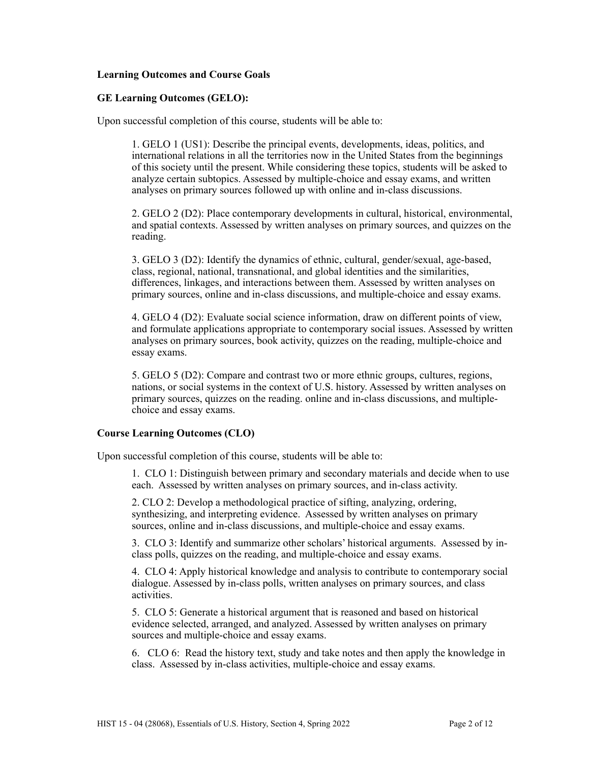### **Learning Outcomes and Course Goals**

#### **GE Learning Outcomes (GELO):**

Upon successful completion of this course, students will be able to:

1. GELO 1 (US1): Describe the principal events, developments, ideas, politics, and international relations in all the territories now in the United States from the beginnings of this society until the present. While considering these topics, students will be asked to analyze certain subtopics. Assessed by multiple-choice and essay exams, and written analyses on primary sources followed up with online and in-class discussions.

2. GELO 2 (D2): Place contemporary developments in cultural, historical, environmental, and spatial contexts. Assessed by written analyses on primary sources, and quizzes on the reading.

3. GELO 3 (D2): Identify the dynamics of ethnic, cultural, gender/sexual, age-based, class, regional, national, transnational, and global identities and the similarities, differences, linkages, and interactions between them. Assessed by written analyses on primary sources, online and in-class discussions, and multiple-choice and essay exams.

4. GELO 4 (D2): Evaluate social science information, draw on different points of view, and formulate applications appropriate to contemporary social issues. Assessed by written analyses on primary sources, book activity, quizzes on the reading, multiple-choice and essay exams.

5. GELO 5 (D2): Compare and contrast two or more ethnic groups, cultures, regions, nations, or social systems in the context of U.S. history. Assessed by written analyses on primary sources, quizzes on the reading. online and in-class discussions, and multiplechoice and essay exams.

#### **Course Learning Outcomes (CLO)**

Upon successful completion of this course, students will be able to:

1. CLO 1: Distinguish between primary and secondary materials and decide when to use each. Assessed by written analyses on primary sources, and in-class activity.

2. CLO 2: Develop a methodological practice of sifting, analyzing, ordering, synthesizing, and interpreting evidence. Assessed by written analyses on primary sources, online and in-class discussions, and multiple-choice and essay exams.

3. CLO 3: Identify and summarize other scholars' historical arguments. Assessed by inclass polls, quizzes on the reading, and multiple-choice and essay exams.

4. CLO 4: Apply historical knowledge and analysis to contribute to contemporary social dialogue. Assessed by in-class polls, written analyses on primary sources, and class activities.

5. CLO 5: Generate a historical argument that is reasoned and based on historical evidence selected, arranged, and analyzed. Assessed by written analyses on primary sources and multiple-choice and essay exams.

6. CLO 6: Read the history text, study and take notes and then apply the knowledge in class. Assessed by in-class activities, multiple-choice and essay exams.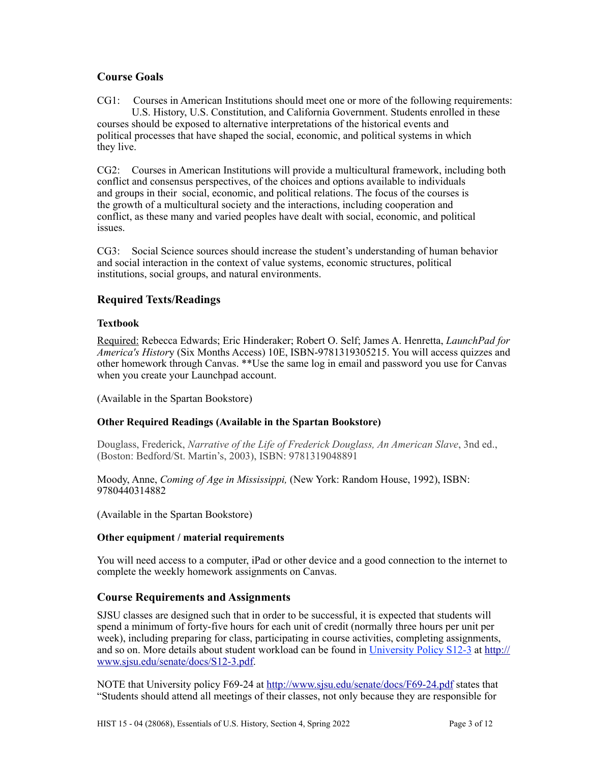# **Course Goals**

CG1: Courses in American Institutions should meet one or more of the following requirements: U.S. History, U.S. Constitution, and California Government. Students enrolled in these courses should be exposed to alternative interpretations of the historical events and political processes that have shaped the social, economic, and political systems in which they live.

CG2: Courses in American Institutions will provide a multicultural framework, including both conflict and consensus perspectives, of the choices and options available to individuals and groups in their social, economic, and political relations. The focus of the courses is the growth of a multicultural society and the interactions, including cooperation and conflict, as these many and varied peoples have dealt with social, economic, and political issues.

CG3: Social Science sources should increase the student's understanding of human behavior and social interaction in the context of value systems, economic structures, political institutions, social groups, and natural environments.

# **Required Texts/Readings**

# **Textbook**

Required: Rebecca Edwards; Eric Hinderaker; Robert O. Self; James A. Henretta, *LaunchPad for America's Histor*y (Six Months Access) 10E, ISBN-9781319305215. You will access quizzes and other homework through Canvas. \*\*Use the same log in email and password you use for Canvas when you create your Launchpad account.

(Available in the Spartan Bookstore)

# **Other Required Readings (Available in the Spartan Bookstore)**

Douglass, Frederick, *Narrative of the Life of Frederick Douglass, An American Slave*, 3nd ed., (Boston: Bedford/St. Martin's, 2003), ISBN: 9781319048891

Moody, Anne, *Coming of Age in Mississippi,* (New York: Random House, 1992), ISBN: 9780440314882

(Available in the Spartan Bookstore)

# **Other equipment / material requirements**

You will need access to a computer, iPad or other device and a good connection to the internet to complete the weekly homework assignments on Canvas.

# **Course Requirements and Assignments**

SJSU classes are designed such that in order to be successful, it is expected that students will spend a minimum of forty-five hours for each unit of credit (normally three hours per unit per week), including preparing for class, participating in course activities, completing assignments, and so on. More details about student workload can be found in [University Policy S12-3](http://www.sjsu.edu/senate/docs/S12-3.pdf) at [http://](http://www.sjsu.edu/senate/docs/S12-3.pdf) [www.sjsu.edu/senate/docs/S12-3.pdf.](http://www.sjsu.edu/senate/docs/S12-3.pdf)

NOTE that University policy F69-24 at <http://www.sjsu.edu/senate/docs/F69-24.pdf>states that "Students should attend all meetings of their classes, not only because they are responsible for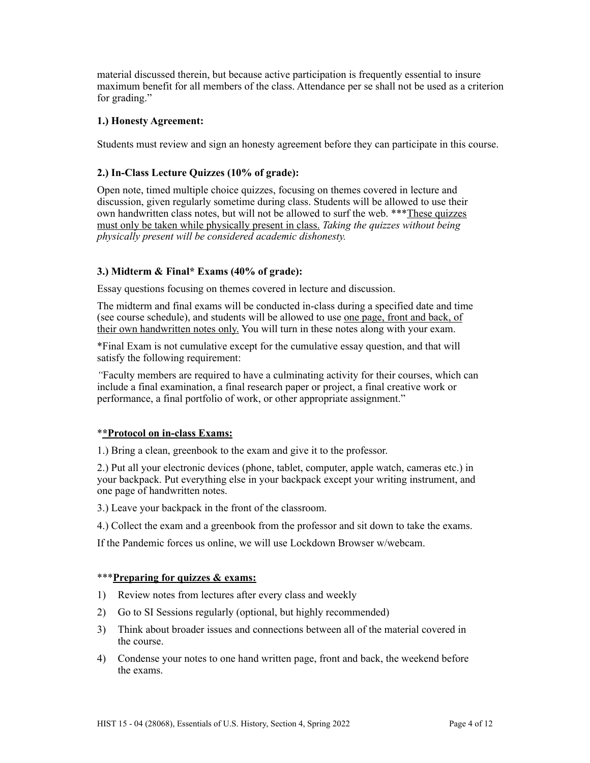material discussed therein, but because active participation is frequently essential to insure maximum benefit for all members of the class. Attendance per se shall not be used as a criterion for grading."

# **1.) Honesty Agreement:**

Students must review and sign an honesty agreement before they can participate in this course.

# **2.) In-Class Lecture Quizzes (10% of grade):**

Open note, timed multiple choice quizzes, focusing on themes covered in lecture and discussion, given regularly sometime during class. Students will be allowed to use their own handwritten class notes, but will not be allowed to surf the web. \*\*\*These quizzes must only be taken while physically present in class. *Taking the quizzes without being physically present will be considered academic dishonesty.*

# **3.) Midterm & Final\* Exams (40% of grade):**

Essay questions focusing on themes covered in lecture and discussion.

The midterm and final exams will be conducted in-class during a specified date and time (see course schedule), and students will be allowed to use one page, front and back, of their own handwritten notes only. You will turn in these notes along with your exam.

\*Final Exam is not cumulative except for the cumulative essay question, and that will satisfy the following requirement:

*"*Faculty members are required to have a culminating activity for their courses, which can include a final examination, a final research paper or project, a final creative work or performance, a final portfolio of work, or other appropriate assignment."

# \***\*Protocol on in-class Exams:**

1.) Bring a clean, greenbook to the exam and give it to the professor.

2.) Put all your electronic devices (phone, tablet, computer, apple watch, cameras etc.) in your backpack. Put everything else in your backpack except your writing instrument, and one page of handwritten notes.

3.) Leave your backpack in the front of the classroom.

4.) Collect the exam and a greenbook from the professor and sit down to take the exams.

If the Pandemic forces us online, we will use Lockdown Browser w/webcam.

# \*\*\***Preparing for quizzes & exams:**

- 1) Review notes from lectures after every class and weekly
- 2) Go to SI Sessions regularly (optional, but highly recommended)
- 3) Think about broader issues and connections between all of the material covered in the course.
- 4) Condense your notes to one hand written page, front and back, the weekend before the exams.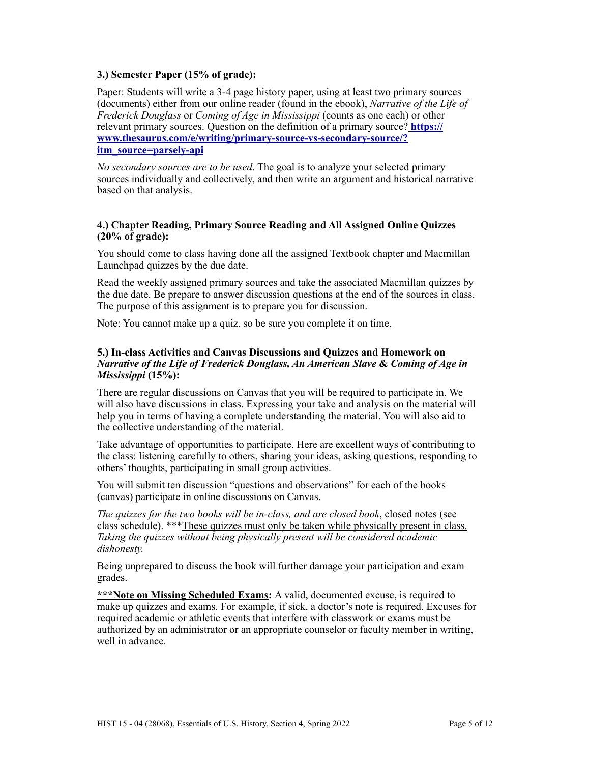# **3.) Semester Paper (15% of grade):**

Paper: Students will write a 3-4 page history paper, using at least two primary sources (documents) either from our online reader (found in the ebook), *Narrative of the Life of Frederick Douglass* or *Coming of Age in Mississippi* (counts as one each) or other relevant primary sources. Question on the definition of a primary source? **[https://](https://www.thesaurus.com/e/writing/primary-source-vs-secondary-source/?itm_source=parsely-api) [www.thesaurus.com/e/writing/primary-source-vs-secondary-source/?](https://www.thesaurus.com/e/writing/primary-source-vs-secondary-source/?itm_source=parsely-api) [itm\\_source=parsely-api](https://www.thesaurus.com/e/writing/primary-source-vs-secondary-source/?itm_source=parsely-api)**

*No secondary sources are to be used*. The goal is to analyze your selected primary sources individually and collectively, and then write an argument and historical narrative based on that analysis.

### **4.) Chapter Reading, Primary Source Reading and All Assigned Online Quizzes (20% of grade):**

You should come to class having done all the assigned Textbook chapter and Macmillan Launchpad quizzes by the due date.

Read the weekly assigned primary sources and take the associated Macmillan quizzes by the due date. Be prepare to answer discussion questions at the end of the sources in class. The purpose of this assignment is to prepare you for discussion.

Note: You cannot make up a quiz, so be sure you complete it on time.

### **5.) In-class Activities and Canvas Discussions and Quizzes and Homework on**  *Narrative of the Life of Frederick Douglass, An American Slave* **&** *Coming of Age in Mississippi* **(15%):**

There are regular discussions on Canvas that you will be required to participate in. We will also have discussions in class. Expressing your take and analysis on the material will help you in terms of having a complete understanding the material. You will also aid to the collective understanding of the material.

Take advantage of opportunities to participate. Here are excellent ways of contributing to the class: listening carefully to others, sharing your ideas, asking questions, responding to others' thoughts, participating in small group activities.

You will submit ten discussion "questions and observations" for each of the books (canvas) participate in online discussions on Canvas.

*The quizzes for the two books will be in-class, and are closed book*, closed notes (see class schedule). \*\*\*These quizzes must only be taken while physically present in class. *Taking the quizzes without being physically present will be considered academic dishonesty.*

Being unprepared to discuss the book will further damage your participation and exam grades.

\*\*\*Note on Missing Scheduled Exams: A valid, documented excuse, is required to make up quizzes and exams. For example, if sick, a doctor's note is required. Excuses for required academic or athletic events that interfere with classwork or exams must be authorized by an administrator or an appropriate counselor or faculty member in writing, well in advance.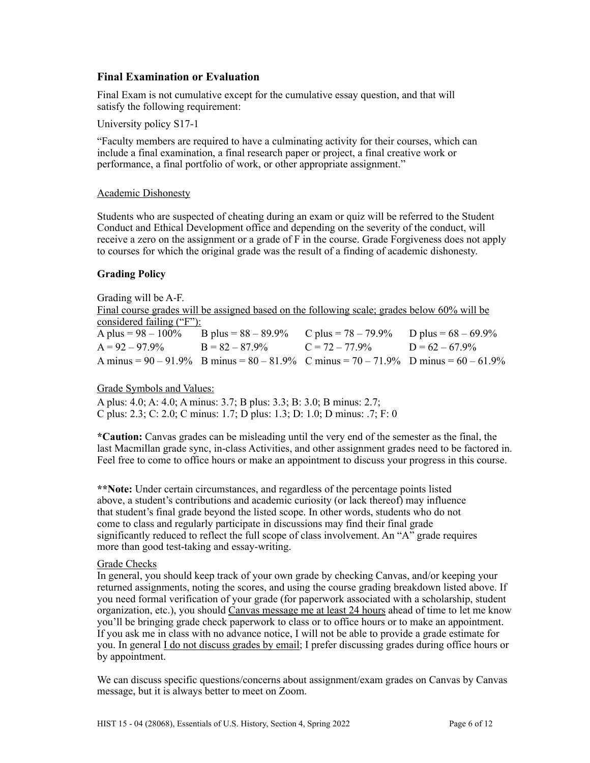# **Final Examination or Evaluation**

Final Exam is not cumulative except for the cumulative essay question, and that will satisfy the following requirement:

University policy S17-1

"Faculty members are required to have a culminating activity for their courses, which can include a final examination, a final research paper or project, a final creative work or performance, a final portfolio of work, or other appropriate assignment."

#### Academic Dishonesty

Students who are suspected of cheating during an exam or quiz will be referred to the Student Conduct and Ethical Development office and depending on the severity of the conduct, will receive a zero on the assignment or a grade of F in the course. Grade Forgiveness does not apply to courses for which the original grade was the result of a finding of academic dishonesty.

#### **Grading Policy**

Grading will be A-F. Final course grades will be assigned based on the following scale; grades below 60% will be considered failing ("F"):<br>A plus =  $98 - 100\%$ B plus =  $88 - 89.9\%$  C plus =  $78 - 79.9\%$  D plus =  $68 - 69.9\%$  $A = 92 - 97.9\%$  B =  $82 - 87.9\%$  C =  $72 - 77.9\%$  D =  $62 - 67.9\%$ A minus =  $90 - 91.9\%$  B minus =  $80 - 81.9\%$  C minus =  $70 - 71.9\%$  D minus =  $60 - 61.9\%$ 

# Grade Symbols and Values:

A plus: 4.0; A: 4.0; A minus: 3.7; B plus: 3.3; B: 3.0; B minus: 2.7; C plus: 2.3; C: 2.0; C minus: 1.7; D plus: 1.3; D: 1.0; D minus: .7; F: 0

**\*Caution:** Canvas grades can be misleading until the very end of the semester as the final, the last Macmillan grade sync, in-class Activities, and other assignment grades need to be factored in. Feel free to come to office hours or make an appointment to discuss your progress in this course.

**\*\*Note:** Under certain circumstances, and regardless of the percentage points listed above, a student's contributions and academic curiosity (or lack thereof) may influence that student's final grade beyond the listed scope. In other words, students who do not come to class and regularly participate in discussions may find their final grade significantly reduced to reflect the full scope of class involvement. An "A" grade requires more than good test-taking and essay-writing.

#### Grade Checks

In general, you should keep track of your own grade by checking Canvas, and/or keeping your returned assignments, noting the scores, and using the course grading breakdown listed above. If you need formal verification of your grade (for paperwork associated with a scholarship, student organization, etc.), you should Canvas message me at least 24 hours ahead of time to let me know you'll be bringing grade check paperwork to class or to office hours or to make an appointment. If you ask me in class with no advance notice, I will not be able to provide a grade estimate for you. In general I do not discuss grades by email; I prefer discussing grades during office hours or by appointment.

We can discuss specific questions/concerns about assignment/exam grades on Canvas by Canvas message, but it is always better to meet on Zoom.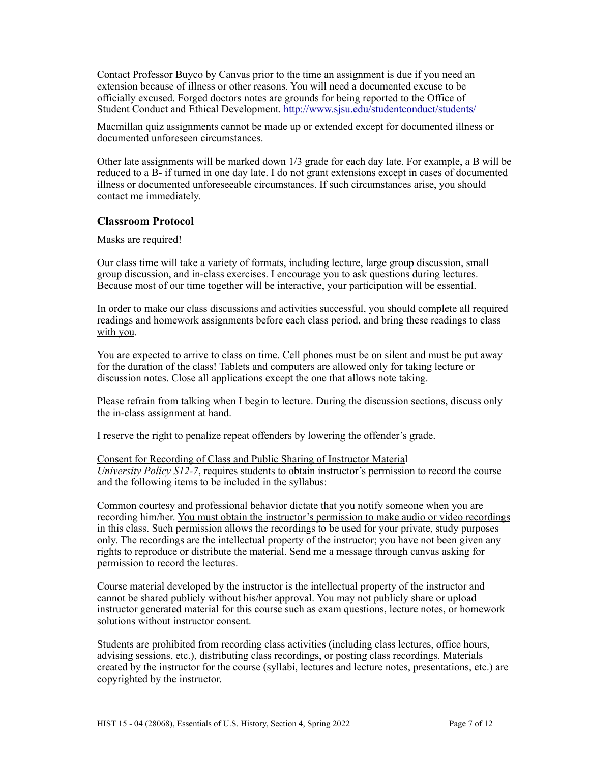Contact Professor Buyco by Canvas prior to the time an assignment is due if you need an extension because of illness or other reasons. You will need a documented excuse to be officially excused. Forged doctors notes are grounds for being reported to the Office of Student Conduct and Ethical Development.<http://www.sjsu.edu/studentconduct/students/>

Macmillan quiz assignments cannot be made up or extended except for documented illness or documented unforeseen circumstances.

Other late assignments will be marked down 1/3 grade for each day late. For example, a B will be reduced to a B- if turned in one day late. I do not grant extensions except in cases of documented illness or documented unforeseeable circumstances. If such circumstances arise, you should contact me immediately.

# **Classroom Protocol**

#### Masks are required!

Our class time will take a variety of formats, including lecture, large group discussion, small group discussion, and in-class exercises. I encourage you to ask questions during lectures. Because most of our time together will be interactive, your participation will be essential.

In order to make our class discussions and activities successful, you should complete all required readings and homework assignments before each class period, and bring these readings to class with you.

You are expected to arrive to class on time. Cell phones must be on silent and must be put away for the duration of the class! Tablets and computers are allowed only for taking lecture or discussion notes. Close all applications except the one that allows note taking.

Please refrain from talking when I begin to lecture. During the discussion sections, discuss only the in-class assignment at hand.

I reserve the right to penalize repeat offenders by lowering the offender's grade.

Consent for Recording of Class and Public Sharing of Instructor Material *University Policy S12-7*, requires students to obtain instructor's permission to record the course and the following items to be included in the syllabus:

Common courtesy and professional behavior dictate that you notify someone when you are recording him/her. You must obtain the instructor's permission to make audio or video recordings in this class. Such permission allows the recordings to be used for your private, study purposes only. The recordings are the intellectual property of the instructor; you have not been given any rights to reproduce or distribute the material. Send me a message through canvas asking for permission to record the lectures.

Course material developed by the instructor is the intellectual property of the instructor and cannot be shared publicly without his/her approval. You may not publicly share or upload instructor generated material for this course such as exam questions, lecture notes, or homework solutions without instructor consent.

Students are prohibited from recording class activities (including class lectures, office hours, advising sessions, etc.), distributing class recordings, or posting class recordings. Materials created by the instructor for the course (syllabi, lectures and lecture notes, presentations, etc.) are copyrighted by the instructor.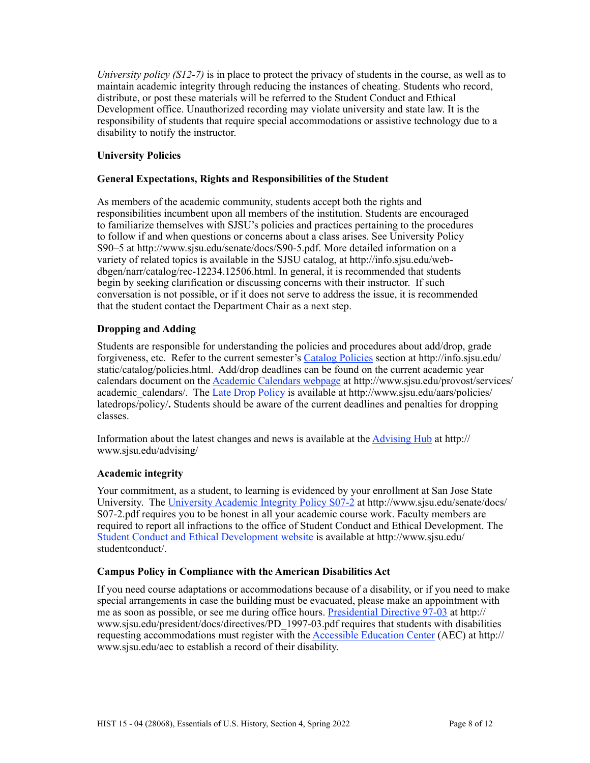*University policy (S12-7)* is in place to protect the privacy of students in the course, as well as to maintain academic integrity through reducing the instances of cheating. Students who record, distribute, or post these materials will be referred to the Student Conduct and Ethical Development office. Unauthorized recording may violate university and state law. It is the responsibility of students that require special accommodations or assistive technology due to a disability to notify the instructor.

# **University Policies**

# **General Expectations, Rights and Responsibilities of the Student**

As members of the academic community, students accept both the rights and responsibilities incumbent upon all members of the institution. Students are encouraged to familiarize themselves with SJSU's policies and practices pertaining to the procedures to follow if and when questions or concerns about a class arises. See University Policy S90–5 at http://www.sjsu.edu/senate/docs/S90-5.pdf. More detailed information on a variety of related topics is available in the SJSU catalog, at http://info.sjsu.edu/webdbgen/narr/catalog/rec-12234.12506.html. In general, it is recommended that students begin by seeking clarification or discussing concerns with their instructor. If such conversation is not possible, or if it does not serve to address the issue, it is recommended that the student contact the Department Chair as a next step.

# **Dropping and Adding**

Students are responsible for understanding the policies and procedures about add/drop, grade forgiveness, etc. Refer to the current semester's [Catalog Policies](http://info.sjsu.edu/static/catalog/policies.html) section at http://info.sjsu.edu/ static/catalog/policies.html. Add/drop deadlines can be found on the current academic year calendars document on the [Academic Calendars webpage](http://www.sjsu.edu/provost/services/academic_calendars/) at http://www.sjsu.edu/provost/services/ academic\_calendars/. The [Late Drop Policy](http://www.sjsu.edu/aars) is available at http://www.sjsu.edu/aars/policies/ latedrops/policy/**.** Students should be aware of the current deadlines and penalties for dropping classes.

Information about the latest changes and news is available at the [Advising Hub](http://www.sjsu.edu/advising/) at http:// www.sjsu.edu/advising/

# **Academic integrity**

Your commitment, as a student, to learning is evidenced by your enrollment at San Jose State University. The [University Academic Integrity Policy S07-2](http://www.sjsu.edu/senate/docs/S07-2.pdf) at http://www.sjsu.edu/senate/docs/ S07-2.pdf requires you to be honest in all your academic course work. Faculty members are required to report all infractions to the office of Student Conduct and Ethical Development. The [Student Conduct and Ethical Development website](http://www.sjsu.edu/studentconduct/) is available at http://www.sjsu.edu/ studentconduct/.

# **Campus Policy in Compliance with the American Disabilities Act**

If you need course adaptations or accommodations because of a disability, or if you need to make special arrangements in case the building must be evacuated, please make an appointment with me as soon as possible, or see me during office hours. [Presidential Directive 97-03](http://www.sjsu.edu/president/docs/directives/PD_1997-03.pdf) at http:// www.sjsu.edu/president/docs/directives/PD\_1997-03.pdf requires that students with disabilities requesting accommodations must register with the [Accessible Education Center](http://www.sjsu.edu/aec) (AEC) at http:// www.sjsu.edu/aec to establish a record of their disability.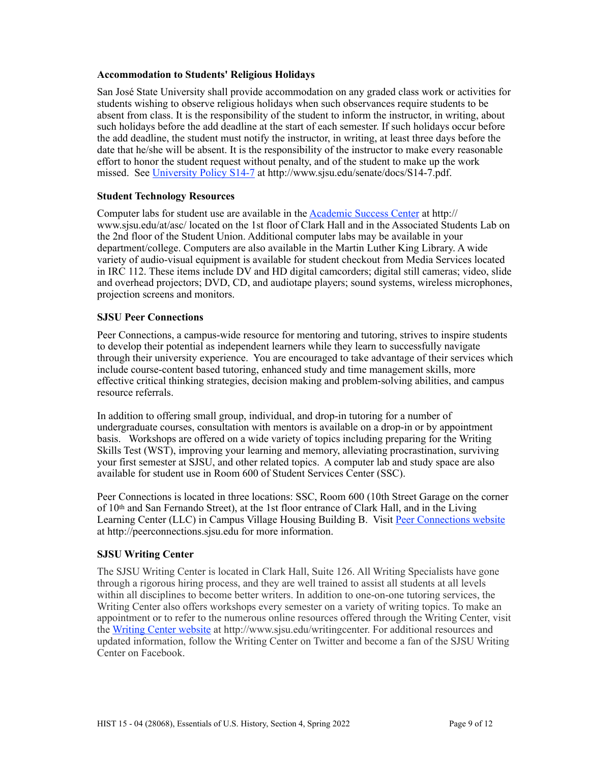### **Accommodation to Students' Religious Holidays**

San José State University shall provide accommodation on any graded class work or activities for students wishing to observe religious holidays when such observances require students to be absent from class. It is the responsibility of the student to inform the instructor, in writing, about such holidays before the add deadline at the start of each semester. If such holidays occur before the add deadline, the student must notify the instructor, in writing, at least three days before the date that he/she will be absent. It is the responsibility of the instructor to make every reasonable effort to honor the student request without penalty, and of the student to make up the work missed. See [University Policy S14-7](http://www.sjsu.edu/senate/docs/S14-7.pdf) at http://www.sjsu.edu/senate/docs/S14-7.pdf.

# **Student Technology Resources**

Computer labs for student use are available in the Academic Success Center at http:// www.sjsu.edu/at/asc/ located on the 1st floor of Clark Hall and in the Associated Students Lab on the 2nd floor of the Student Union. Additional computer labs may be available in your department/college. Computers are also available in the Martin Luther King Library. A wide variety of audio-visual equipment is available for student checkout from Media Services located in IRC 112. These items include DV and HD digital camcorders; digital still cameras; video, slide and overhead projectors; DVD, CD, and audiotape players; sound systems, wireless microphones, projection screens and monitors.

### **SJSU Peer Connections**

Peer Connections, a campus-wide resource for mentoring and tutoring, strives to inspire students to develop their potential as independent learners while they learn to successfully navigate through their university experience. You are encouraged to take advantage of their services which include course-content based tutoring, enhanced study and time management skills, more effective critical thinking strategies, decision making and problem-solving abilities, and campus resource referrals.

In addition to offering small group, individual, and drop-in tutoring for a number of undergraduate courses, consultation with mentors is available on a drop-in or by appointment basis. Workshops are offered on a wide variety of topics including preparing for the Writing Skills Test (WST), improving your learning and memory, alleviating procrastination, surviving your first semester at SJSU, and other related topics. A computer lab and study space are also available for student use in Room 600 of Student Services Center (SSC).

Peer Connections is located in three locations: SSC, Room 600 (10th Street Garage on the corner of 10th and San Fernando Street), at the 1st floor entrance of Clark Hall, and in the Living Learning Center (LLC) in Campus Village Housing Building B. Visit [Peer Connections website](http://peerconnections.sjsu.edu) at http://peerconnections.sjsu.edu for more information.

# **SJSU Writing Center**

The SJSU Writing Center is located in Clark Hall, Suite 126. All Writing Specialists have gone through a rigorous hiring process, and they are well trained to assist all students at all levels within all disciplines to become better writers. In addition to one-on-one tutoring services, the Writing Center also offers workshops every semester on a variety of writing topics. To make an appointment or to refer to the numerous online resources offered through the Writing Center, visit the [Writing Center website](http://www.sjsu.edu/writingcenter) at http://www.sjsu.edu/writingcenter. For additional resources and updated information, follow the Writing Center on Twitter and become a fan of the SJSU Writing Center on Facebook.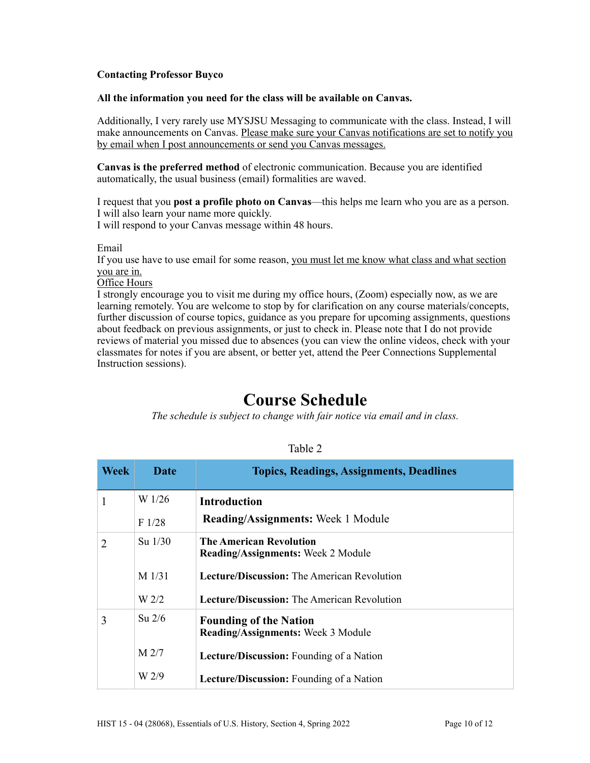# **Contacting Professor Buyco**

#### **All the information you need for the class will be available on Canvas.**

Additionally, I very rarely use MYSJSU Messaging to communicate with the class. Instead, I will make announcements on Canvas. Please make sure your Canvas notifications are set to notify you by email when I post announcements or send you Canvas messages.

**Canvas is the preferred method** of electronic communication. Because you are identified automatically, the usual business (email) formalities are waved.

I request that you **post a profile photo on Canvas**––this helps me learn who you are as a person. I will also learn your name more quickly. I will respond to your Canvas message within 48 hours.

Email

If you use have to use email for some reason, you must let me know what class and what section you are in.

Office Hours

I strongly encourage you to visit me during my office hours, (Zoom) especially now, as we are learning remotely. You are welcome to stop by for clarification on any course materials/concepts, further discussion of course topics, guidance as you prepare for upcoming assignments, questions about feedback on previous assignments, or just to check in. Please note that I do not provide reviews of material you missed due to absences (you can view the online videos, check with your classmates for notes if you are absent, or better yet, attend the Peer Connections Supplemental Instruction sessions).

# **Course Schedule**

*The schedule is subject to change with fair notice via email and in class.*

| <b>Week</b>    | Date             | <b>Topics, Readings, Assignments, Deadlines</b>                             |
|----------------|------------------|-----------------------------------------------------------------------------|
| 1              | W 1/26           | <b>Introduction</b>                                                         |
|                | F1/28            | <b>Reading/Assignments:</b> Week 1 Module                                   |
| $\overline{2}$ | $Su$ 1/30        | <b>The American Revolution</b><br><b>Reading/Assignments:</b> Week 2 Module |
|                | $M$ 1/31         | <b>Lecture/Discussion:</b> The American Revolution                          |
|                | W <sub>2/2</sub> | <b>Lecture/Discussion:</b> The American Revolution                          |
| 3              | $Su$ 2/6         | <b>Founding of the Nation</b><br><b>Reading/Assignments: Week 3 Module</b>  |
|                | M <sub>2/7</sub> | <b>Lecture/Discussion:</b> Founding of a Nation                             |
|                | W 2/9            | <b>Lecture/Discussion:</b> Founding of a Nation                             |

#### Table 2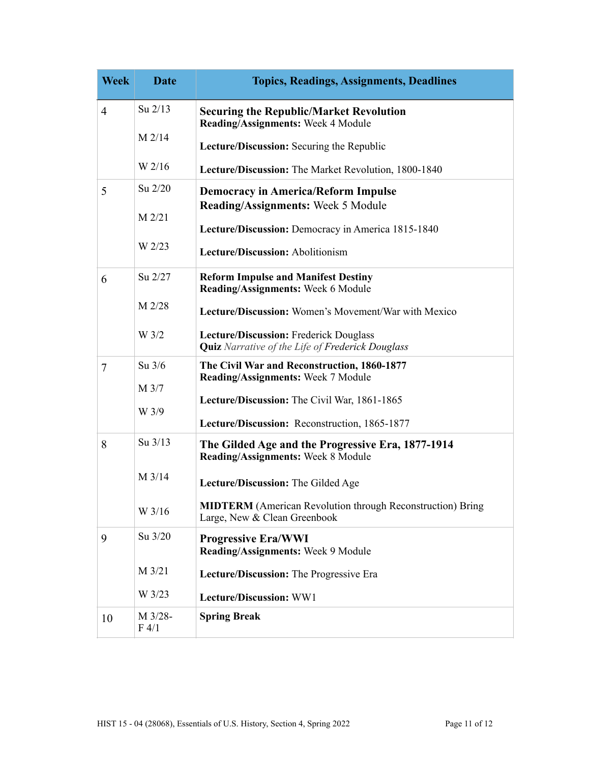| <b>Week</b>    | <b>Date</b>      | <b>Topics, Readings, Assignments, Deadlines</b>                                                   |
|----------------|------------------|---------------------------------------------------------------------------------------------------|
| $\overline{4}$ | Su 2/13          | <b>Securing the Republic/Market Revolution</b><br>Reading/Assignments: Week 4 Module              |
|                | $M$ 2/14         | Lecture/Discussion: Securing the Republic                                                         |
|                | W 2/16           | Lecture/Discussion: The Market Revolution, 1800-1840                                              |
| 5              | Su 2/20          | <b>Democracy in America/Reform Impulse</b><br><b>Reading/Assignments: Week 5 Module</b>           |
|                | $M$ 2/21         | Lecture/Discussion: Democracy in America 1815-1840                                                |
|                | W 2/23           | Lecture/Discussion: Abolitionism                                                                  |
| 6              | $Su$ 2/27        | <b>Reform Impulse and Manifest Destiny</b><br>Reading/Assignments: Week 6 Module                  |
|                | M 2/28           | <b>Lecture/Discussion:</b> Women's Movement/War with Mexico                                       |
|                | W <sub>3/2</sub> | Lecture/Discussion: Frederick Douglass<br><b>Quiz</b> Narrative of the Life of Frederick Douglass |
| 7              | Su $3/6$         | The Civil War and Reconstruction, 1860-1877<br>Reading/Assignments: Week 7 Module                 |
|                | M 3/7<br>W 3/9   | Lecture/Discussion: The Civil War, 1861-1865                                                      |
|                |                  | Lecture/Discussion: Reconstruction, 1865-1877                                                     |
| 8              | Su 3/13          | The Gilded Age and the Progressive Era, 1877-1914<br>Reading/Assignments: Week 8 Module           |
|                | $M$ 3/14         | Lecture/Discussion: The Gilded Age                                                                |
|                | W 3/16           | <b>MIDTERM</b> (American Revolution through Reconstruction) Bring<br>Large, New & Clean Greenbook |
| 9              | Su 3/20          | <b>Progressive Era/WWI</b><br>Reading/Assignments: Week 9 Module                                  |
|                | M 3/21           | Lecture/Discussion: The Progressive Era                                                           |
|                | W 3/23           | Lecture/Discussion: WW1                                                                           |
| 10             | M 3/28-<br>F 4/1 | <b>Spring Break</b>                                                                               |